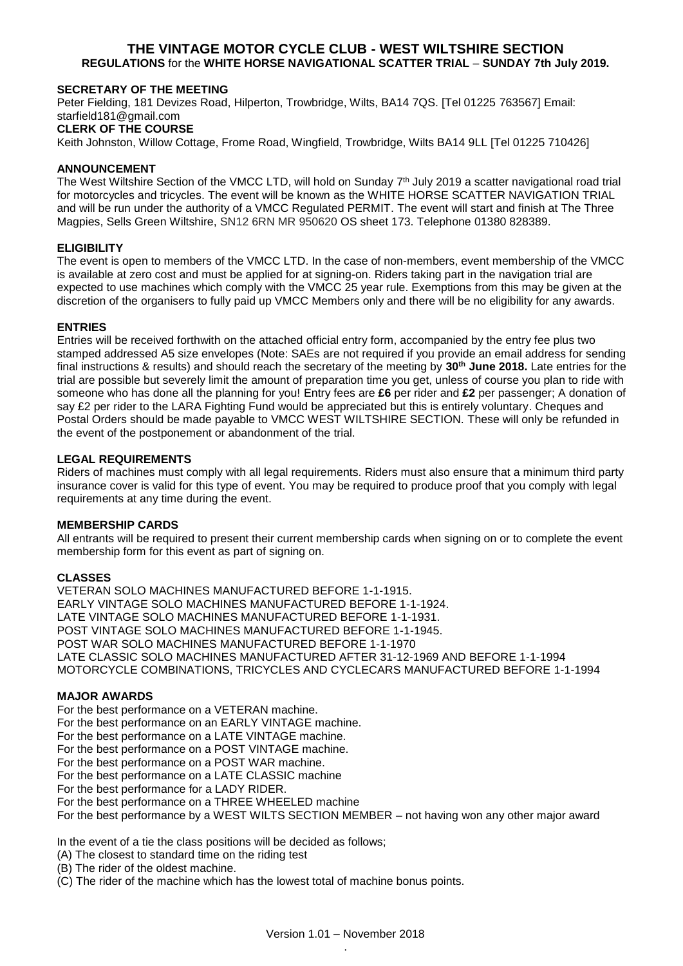# **THE VINTAGE MOTOR CYCLE CLUB - WEST WILTSHIRE SECTION REGULATIONS** for the **WHITE HORSE NAVIGATIONAL SCATTER TRIAL** – **SUNDAY 7th July 2019.**

# **SECRETARY OF THE MEETING**

Peter Fielding, 181 Devizes Road, Hilperton, Trowbridge, Wilts, BA14 7QS. [Tel 01225 763567] Email: starfield181@gmail.com **CLERK OF THE COURSE**

Keith Johnston, Willow Cottage, Frome Road, Wingfield, Trowbridge, Wilts BA14 9LL [Tel 01225 710426]

# **ANNOUNCEMENT**

The West Wiltshire Section of the VMCC LTD, will hold on Sunday 7<sup>th</sup> July 2019 a scatter navigational road trial for motorcycles and tricycles. The event will be known as the WHITE HORSE SCATTER NAVIGATION TRIAL and will be run under the authority of a VMCC Regulated PERMIT. The event will start and finish at The Three Magpies, Sells Green Wiltshire, SN12 6RN MR 950620 OS sheet 173. Telephone 01380 828389.

### **ELIGIBILITY**

The event is open to members of the VMCC LTD. In the case of non-members, event membership of the VMCC is available at zero cost and must be applied for at signing-on. Riders taking part in the navigation trial are expected to use machines which comply with the VMCC 25 year rule. Exemptions from this may be given at the discretion of the organisers to fully paid up VMCC Members only and there will be no eligibility for any awards.

#### **ENTRIES**

Entries will be received forthwith on the attached official entry form, accompanied by the entry fee plus two stamped addressed A5 size envelopes (Note: SAEs are not required if you provide an email address for sending final instructions & results) and should reach the secretary of the meeting by **30th June 2018.** Late entries for the trial are possible but severely limit the amount of preparation time you get, unless of course you plan to ride with someone who has done all the planning for you! Entry fees are **£6** per rider and **£2** per passenger; A donation of say £2 per rider to the LARA Fighting Fund would be appreciated but this is entirely voluntary. Cheques and Postal Orders should be made payable to VMCC WEST WILTSHIRE SECTION. These will only be refunded in the event of the postponement or abandonment of the trial.

# **LEGAL REQUIREMENTS**

Riders of machines must comply with all legal requirements. Riders must also ensure that a minimum third party insurance cover is valid for this type of event. You may be required to produce proof that you comply with legal requirements at any time during the event.

#### **MEMBERSHIP CARDS**

All entrants will be required to present their current membership cards when signing on or to complete the event membership form for this event as part of signing on.

### **CLASSES**

VETERAN SOLO MACHINES MANUFACTURED BEFORE 1-1-1915. EARLY VINTAGE SOLO MACHINES MANUFACTURED BEFORE 1-1-1924. LATE VINTAGE SOLO MACHINES MANUFACTURED BEFORE 1-1-1931. POST VINTAGE SOLO MACHINES MANUFACTURED BEFORE 1-1-1945. POST WAR SOLO MACHINES MANUFACTURED BEFORE 1-1-1970 LATE CLASSIC SOLO MACHINES MANUFACTURED AFTER 31-12-1969 AND BEFORE 1-1-1994 MOTORCYCLE COMBINATIONS, TRICYCLES AND CYCLECARS MANUFACTURED BEFORE 1-1-1994

#### **MAJOR AWARDS**

For the best performance on a VETERAN machine. For the best performance on an EARLY VINTAGE machine. For the best performance on a LATE VINTAGE machine. For the best performance on a POST VINTAGE machine. For the best performance on a POST WAR machine. For the best performance on a LATE CLASSIC machine For the best performance for a LADY RIDER. For the best performance on a THREE WHEELED machine For the best performance by a WEST WILTS SECTION MEMBER – not having won any other major award

In the event of a tie the class positions will be decided as follows;

(A) The closest to standard time on the riding test

(B) The rider of the oldest machine.

(C) The rider of the machine which has the lowest total of machine bonus points.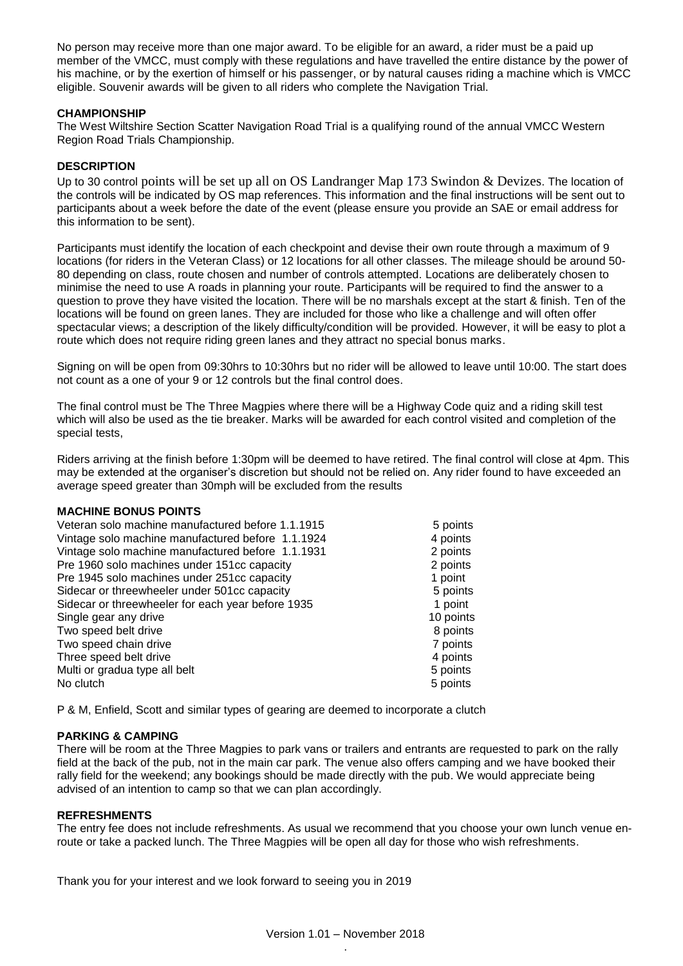No person may receive more than one major award. To be eligible for an award, a rider must be a paid up member of the VMCC, must comply with these regulations and have travelled the entire distance by the power of his machine, or by the exertion of himself or his passenger, or by natural causes riding a machine which is VMCC eligible. Souvenir awards will be given to all riders who complete the Navigation Trial.

# **CHAMPIONSHIP**

The West Wiltshire Section Scatter Navigation Road Trial is a qualifying round of the annual VMCC Western Region Road Trials Championship.

# **DESCRIPTION**

Up to 30 control points will be set up all on OS Landranger Map 173 Swindon & Devizes. The location of the controls will be indicated by OS map references. This information and the final instructions will be sent out to participants about a week before the date of the event (please ensure you provide an SAE or email address for this information to be sent).

Participants must identify the location of each checkpoint and devise their own route through a maximum of 9 locations (for riders in the Veteran Class) or 12 locations for all other classes. The mileage should be around 50- 80 depending on class, route chosen and number of controls attempted. Locations are deliberately chosen to minimise the need to use A roads in planning your route. Participants will be required to find the answer to a question to prove they have visited the location. There will be no marshals except at the start & finish. Ten of the locations will be found on green lanes. They are included for those who like a challenge and will often offer spectacular views; a description of the likely difficulty/condition will be provided. However, it will be easy to plot a route which does not require riding green lanes and they attract no special bonus marks.

Signing on will be open from 09:30hrs to 10:30hrs but no rider will be allowed to leave until 10:00. The start does not count as a one of your 9 or 12 controls but the final control does.

The final control must be The Three Magpies where there will be a Highway Code quiz and a riding skill test which will also be used as the tie breaker. Marks will be awarded for each control visited and completion of the special tests,

Riders arriving at the finish before 1:30pm will be deemed to have retired. The final control will close at 4pm. This may be extended at the organiser's discretion but should not be relied on. Any rider found to have exceeded an average speed greater than 30mph will be excluded from the results

# **MACHINE BONUS POINTS**

| Veteran solo machine manufactured before 1.1.1915 | 5 points  |
|---------------------------------------------------|-----------|
| Vintage solo machine manufactured before 1.1.1924 | 4 points  |
| Vintage solo machine manufactured before 1.1.1931 | 2 points  |
| Pre 1960 solo machines under 151cc capacity       | 2 points  |
| Pre 1945 solo machines under 251cc capacity       | 1 point   |
| Sidecar or threewheeler under 501cc capacity      | 5 points  |
| Sidecar or threewheeler for each year before 1935 | 1 point   |
| Single gear any drive                             | 10 points |
| Two speed belt drive                              | 8 points  |
| Two speed chain drive                             | 7 points  |
| Three speed belt drive                            | 4 points  |
| Multi or gradua type all belt                     | 5 points  |
| No clutch                                         | 5 points  |

P & M, Enfield, Scott and similar types of gearing are deemed to incorporate a clutch

# **PARKING & CAMPING**

There will be room at the Three Magpies to park vans or trailers and entrants are requested to park on the rally field at the back of the pub, not in the main car park. The venue also offers camping and we have booked their rally field for the weekend; any bookings should be made directly with the pub. We would appreciate being advised of an intention to camp so that we can plan accordingly.

# **REFRESHMENTS**

The entry fee does not include refreshments. As usual we recommend that you choose your own lunch venue enroute or take a packed lunch. The Three Magpies will be open all day for those who wish refreshments.

Thank you for your interest and we look forward to seeing you in 2019